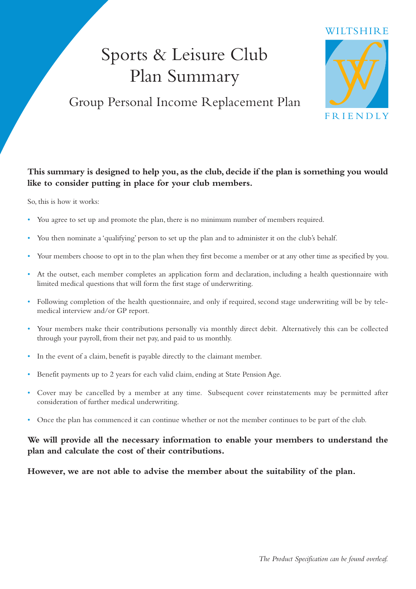# Sports & Leisure Club Plan Summary

### Group Personal Income Replacement Plan



#### **This summary is designed to help you, as the club, decide if the plan is something you would like to consider putting in place for your club members.**

So, this is how it works:

- You agree to set up and promote the plan, there is no minimum number of members required.
- You then nominate a 'qualifying' person to set up the plan and to administer it on the club's behalf.
- Your members choose to opt in to the plan when they first become a member or at any other time as specified by you.
- At the outset, each member completes an application form and declaration, including a health questionnaire with limited medical questions that will form the first stage of underwriting.
- Following completion of the health questionnaire, and only if required, second stage underwriting will be by tele medical interview and/or GP report.
- Your members make their contributions personally via monthly direct debit. Alternatively this can be collected through your payroll, from their net pay, and paid to us monthly.
- In the event of a claim, benefit is payable directly to the claimant member.
- Benefit payments up to 2 years for each valid claim, ending at State Pension Age.
- Cover may be cancelled by a member at any time. Subsequent cover reinstatements may be permitted after consideration of further medical underwriting.
- Once the plan has commenced it can continue whether or not the member continues to be part of the club.

#### **We will provide all the necessary information to enable your members to understand the plan and calculate the cost of their contributions.**

**However, we are not able to advise the member about the suitability of the plan.**